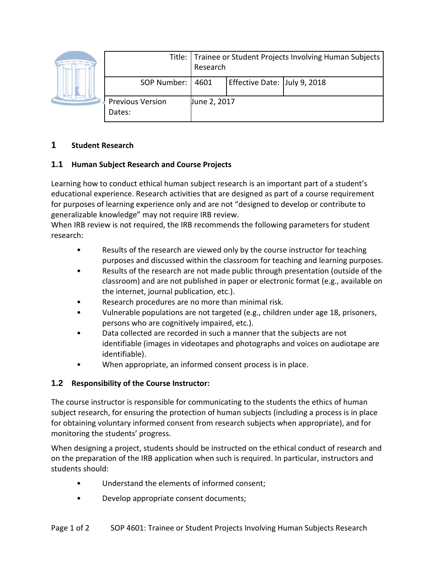|                            | Research     | Title:   Trainee or Student Projects Involving Human Subjects |  |  |
|----------------------------|--------------|---------------------------------------------------------------|--|--|
| SOP Number:   4601         |              | Effective Date: July 9, 2018                                  |  |  |
| Previous Version<br>Dates: | June 2, 2017 |                                                               |  |  |

# **1 Student Research**

## **1.1 Human Subject Research and Course Projects**

Learning how to conduct ethical human subject research is an important part of a student's educational experience. Research activities that are designed as part of a course requirement for purposes of learning experience only and are not "designed to develop or contribute to generalizable knowledge" may not require IRB review.

When IRB review is not required, the IRB recommends the following parameters for student research:

- Results of the research are viewed only by the course instructor for teaching purposes and discussed within the classroom for teaching and learning purposes.
- Results of the research are not made public through presentation (outside of the classroom) and are not published in paper or electronic format (e.g., available on the internet, journal publication, etc.).
- Research procedures are no more than minimal risk.
- Vulnerable populations are not targeted (e.g., children under age 18, prisoners, persons who are cognitively impaired, etc.).
- Data collected are recorded in such a manner that the subjects are not identifiable (images in videotapes and photographs and voices on audiotape are identifiable).
- When appropriate, an informed consent process is in place.

# **1.2 Responsibility of the Course Instructor:**

The course instructor is responsible for communicating to the students the ethics of human subject research, for ensuring the protection of human subjects (including a process is in place for obtaining voluntary informed consent from research subjects when appropriate), and for monitoring the students' progress.

When designing a project, students should be instructed on the ethical conduct of research and on the preparation of the IRB application when such is required. In particular, instructors and students should:

- Understand the elements of informed consent;
- Develop appropriate consent documents;